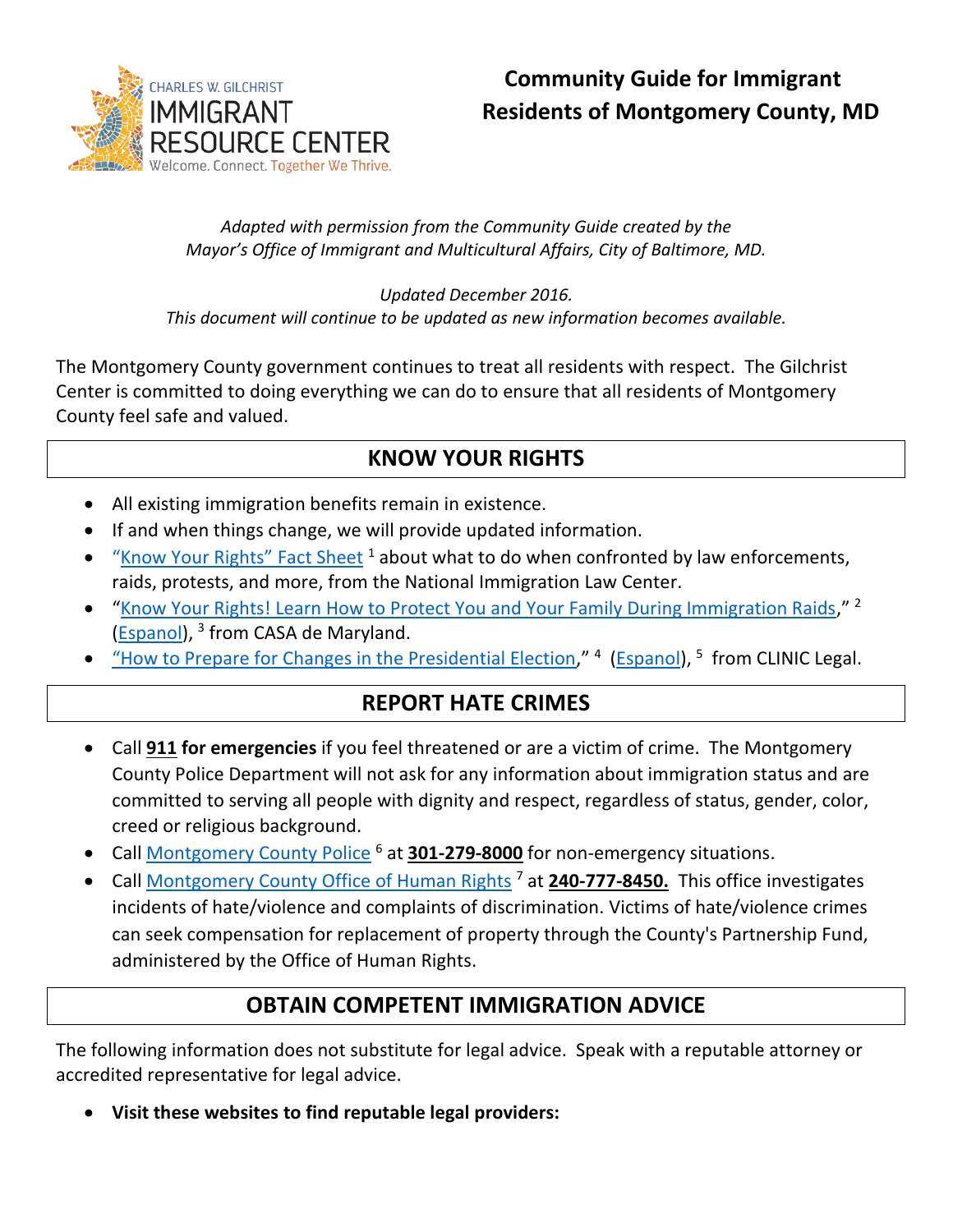

# **Community Guide for Immigrant Residents of Montgomery County, MD**

#### *Adapted with permission from the Community Guide created by the Mayor's Office of Immigrant and Multicultural Affairs, City of Baltimore, MD.*

*Updated December 2016. This document will continue to be updated as new information becomes available.*

The Montgomery County government continues to treat all residents with respect. The Gilchrist Center is committed to doing everything we can do to ensure that all residents of Montgomery County feel safe and valued.

# **KNOW YOUR RIGHTS**

- All existing immigration benefits remain in existence.
- If and when things change, we will provide updated information.
- $\bullet$  ["Know Your Rights"](https://www.nilc.org/get-involved/community-education-resources/know-your-rights) Fact Sheet  $^1$  about what to do when confronted by law enforcements, raids, protests, and more, from the National Immigration Law Center.
- "[Know Your Rights! Learn How to Protect You and Your Family During Immigration Raids](http://wearecasa.org/wp-content/uploads/2014/03/KYR-booklet_English.pdf)," <sup>2</sup> (**Espanol**), <sup>3</sup> from CASA de Maryland.
- ["How to Prepare for Changes in the Presidential Election,](https://cliniclegal.org/sites/default/files/How-to-Prepare-for-Changes-in-the-Presidential-Administration.pdf)" <sup>4</sup> [\(Espanol\)](https://cliniclegal.org/sites/default/files/resources/presidential-transition/How-to-Prepare-for-Changes-in-the-Presidential-Administration-Spanish.pdf), <sup>5</sup> from CLINIC Legal.

## **REPORT HATE CRIMES**

- Call **911 for emergencies** if you feel threatened or are a victim of crime. The Montgomery County Police Department will not ask for any information about immigration status and are committed to serving all people with dignity and respect, regardless of status, gender, color, creed or religious background.
- Call [Montgomery County Police](http://www.montgomerycountymd.gov/pol/index.html)<sup>6</sup> at **301-279-8000** for non-emergency situations.
- Call [Montgomery County Office of Human Rights](https://www.montgomerycountymd.gov/humanrights/) <sup>7</sup> at **240-777-8450.** This office investigates incidents of hate/violence and complaints of discrimination. Victims of hate/violence crimes can seek compensation for replacement of property through the County's Partnership Fund, administered by the Office of Human Rights.

## **OBTAIN COMPETENT IMMIGRATION ADVICE**

The following information does not substitute for legal advice. Speak with a reputable attorney or accredited representative for legal advice.

**Visit these websites to find reputable legal providers:**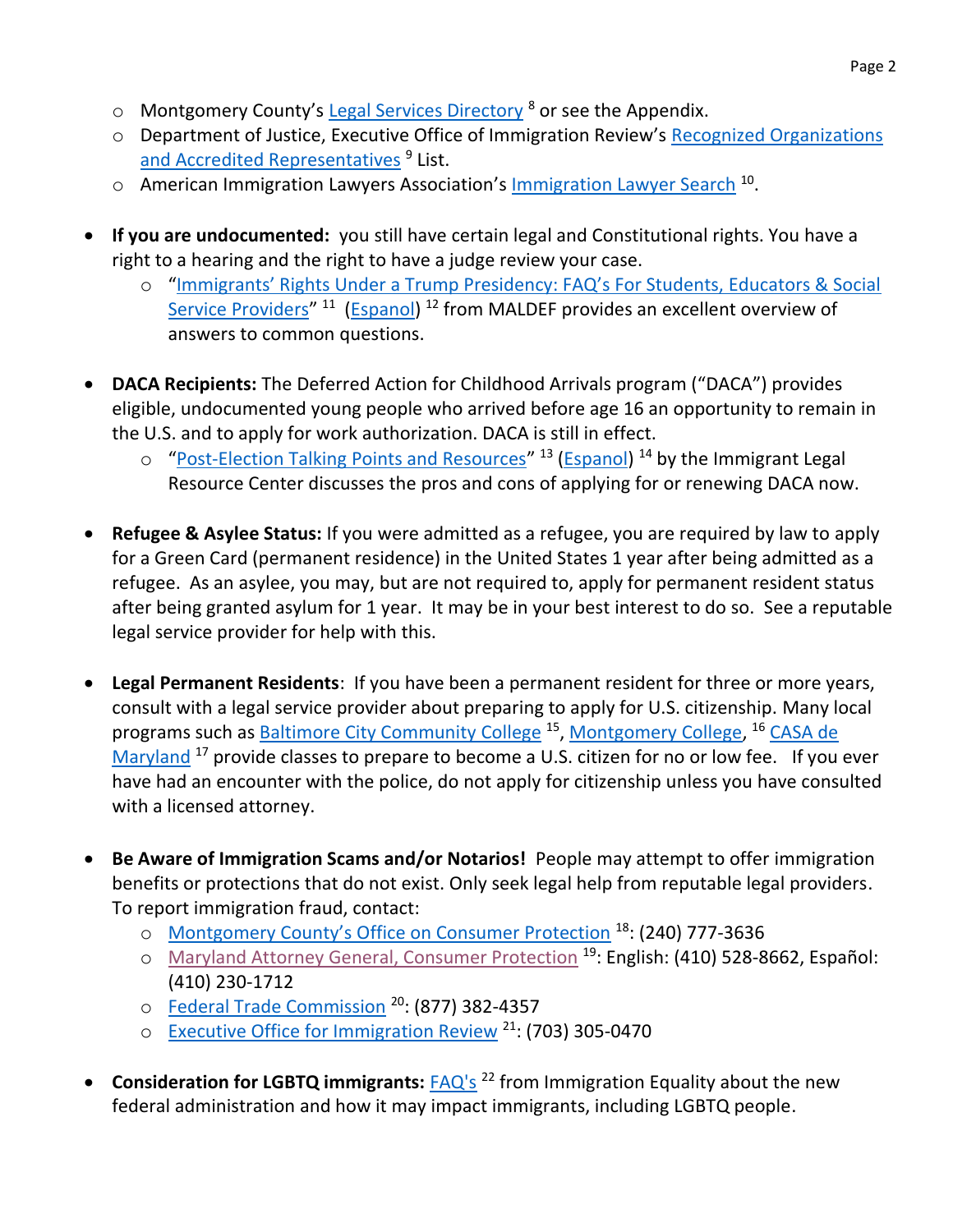- $\circ$  Montgomery County's [Legal Services Directory](http://www.montgomerycountymd.gov/partnerships/Resources/Files/MC_Legal_Providers_Directory.pdf)  $\delta$  or see the Appendix.
- o Department of Justice, Executive Office of Immigration Review's [Recognized Organizations](https://www.justice.gov/eoir/recognition-accreditation-roster-reports)  [and Accredited Representatives](https://www.justice.gov/eoir/recognition-accreditation-roster-reports)<sup>9</sup> List.
- o American Immigration Lawyers Association's **[Immigration Lawyer Search](http://www.ailalawyer.org/)** <sup>10</sup>.
- **If you are undocumented:** you still have certain legal and Constitutional rights. You have a right to a hearing and the right to have a judge review your case.
	- o ["Immigrants' Rights Under a Trump Presidency: FAQ's For Students, Educators & Social](http://maldef.org/assets/pdf/MALDEF_Immigrants_Rights_Under_a_Trump_Presidency.pdf)  [Service Providers](http://maldef.org/assets/pdf/MALDEF_Immigrants_Rights_Under_a_Trump_Presidency.pdf)<sup>" 11</sup> [\(Espanol\)](http://www.maldef.org/assets/pdf/Derechos_De_Inmigrantes_Bajo_La_Presidencia_De_Trump.pdf) <sup>12</sup> from MALDEF provides an excellent overview of answers to common questions.
- **DACA Recipients:** The Deferred Action for Childhood Arrivals program ("DACA") provides eligible, undocumented young people who arrived before age 16 an opportunity to remain in the U.S. and to apply for work authorization. DACA is still in effect.
	- o "[Post-Election Talking Points and Resources](https://www.ilrc.org/sites/default/files/resources/post-election_talking_points.pdf)" <sup>13</sup> [\(Espanol\)](https://www.ilrc.org/sites/default/files/resources/ilrc_spanish_post-election_talking_points.pdf) <sup>14</sup> by the Immigrant Legal Resource Center discusses the pros and cons of applying for or renewing DACA now.
- **Refugee & Asylee Status:** If you were admitted as a refugee, you are required by law to apply for a Green Card (permanent residence) in the United States 1 year after being admitted as a refugee. As an asylee, you may, but are not required to, apply for permanent resident status after being granted asylum for 1 year. It may be in your best interest to do so. See a reputable legal service provider for help with this.
- **Legal Permanent Residents**: If you have been a permanent resident for three or more years, consult with a legal service provider about preparing to apply for U.S. citizenship. Many local programs such as **Baltimore City Community College<sup>15</sup>, [Montgomery College,](http://cms.montgomerycollege.edu/wdce/aelg/citizenship.html) <sup>16</sup> CASA de** [Maryland](http://www.citizenshipmd.org/)  $^{17}$  provide classes to prepare to become a U.S. citizen for no or low fee. If you ever have had an encounter with the police, do not apply for citizenship unless you have consulted with a licensed attorney.
- **Be Aware of Immigration Scams and/or Notarios!** People may attempt to offer immigration benefits or protections that do not exist. Only seek legal help from reputable legal providers. To report immigration fraud, contact:
	- o [Montgomery County's Office on Consumer Protection](http://www.montgomerycountymd.gov/ocp) <sup>18</sup>: (240) 777-3636
	- o [Maryland Attorney General, Consumer Protection](http://www.marylandattorneygeneral.gov/Pages/CPD/complaint.aspx) <sup>19</sup>: English: (410) 528-8662, Español: (410) 230-1712
	- o [Federal Trade Commission](https://www.ftccomplaintassistant.gov/) <sup>20</sup>: (877) 382-4357
	- o [Executive Office for Immigration Review](https://www.justice.gov/eoir/submit-complaint) <sup>21</sup>: (703) 305-0470
- **Consideration for LGBTQ immigrants:**  $FAQ's$ <sup>22</sup> from Immigration Equality about the new federal administration and how it may impact immigrants, including LGBTQ people.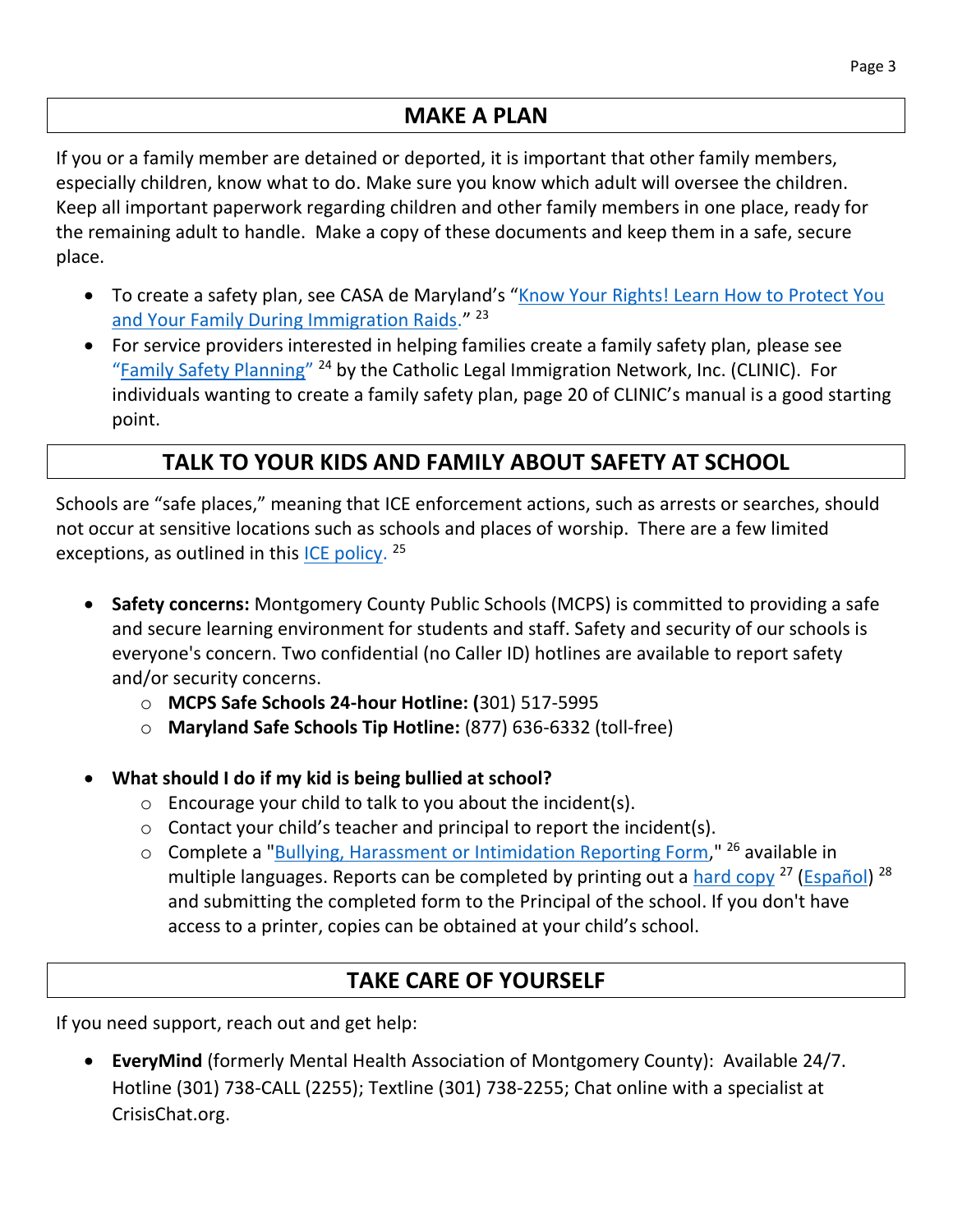#### **MAKE A PLAN**

If you or a family member are detained or deported, it is important that other family members, especially children, know what to do. Make sure you know which adult will oversee the children. Keep all important paperwork regarding children and other family members in one place, ready for the remaining adult to handle. Make a copy of these documents and keep them in a safe, secure place.

- To create a safety plan, see CASA de Maryland's "Know Your Rights! Learn How to Protect You [and Your Family During Immigration Raids.](http://wearecasa.org/wp-content/uploads/2014/03/KYR-booklet_English.pdf)"<sup>23</sup>
- For service providers interested in helping families create a family safety plan, please see "[Family Safety Planning](https://cliniclegal.org/sites/default/files/family_safety_planning.pdf)"<sup>24</sup> by the Catholic Legal Immigration Network, Inc. (CLINIC). For individuals wanting to create a family safety plan, page 20 of CLINIC's manual is a good starting point.

## **TALK TO YOUR KIDS AND FAMILY ABOUT SAFETY AT SCHOOL**

Schools are "safe places," meaning that ICE enforcement actions, such as arrests or searches, should not occur at sensitive locations such as schools and places of worship. There are a few limited exceptions, as outlined in this **ICE policy**. <sup>25</sup>

- **Safety concerns:** Montgomery County Public Schools (MCPS) is committed to providing a safe and secure learning environment for students and staff. Safety and security of our schools is everyone's concern. Two confidential (no Caller ID) hotlines are available to report safety and/or security concerns.
	- o **MCPS Safe Schools 24-hour Hotline: (**301) 517-5995
	- o **Maryland Safe Schools Tip Hotline:** (877) 636-6332 (toll-free)
- **What should I do if my kid is being bullied at school?**
	- $\circ$  Encourage your child to talk to you about the incident(s).
	- $\circ$  Contact your child's teacher and principal to report the incident(s).
	- o Complete a "**Bullying, Harassment or Intimidation Reporting Form,**" <sup>26</sup> available in multiple languages. Reports can be completed by printing out a [hard copy](http://www.montgomeryschoolsmd.org/departments/forms/pdf/230-35.pdf) <sup>27</sup> [\(Español\)](http://www.montgomeryschoolsmd.org/departments/forms/pdf/230-35.pdf) <sup>28</sup> and submitting the completed form to the Principal of the school. If you don't have access to a printer, copies can be obtained at your child's school.

#### **TAKE CARE OF YOURSELF**

If you need support, reach out and get help:

 **EveryMind** (formerly Mental Health Association of Montgomery County): Available 24/7. Hotline (301) 738-CALL (2255); Textline (301) 738-2255; Chat online with a specialist at CrisisChat.org.